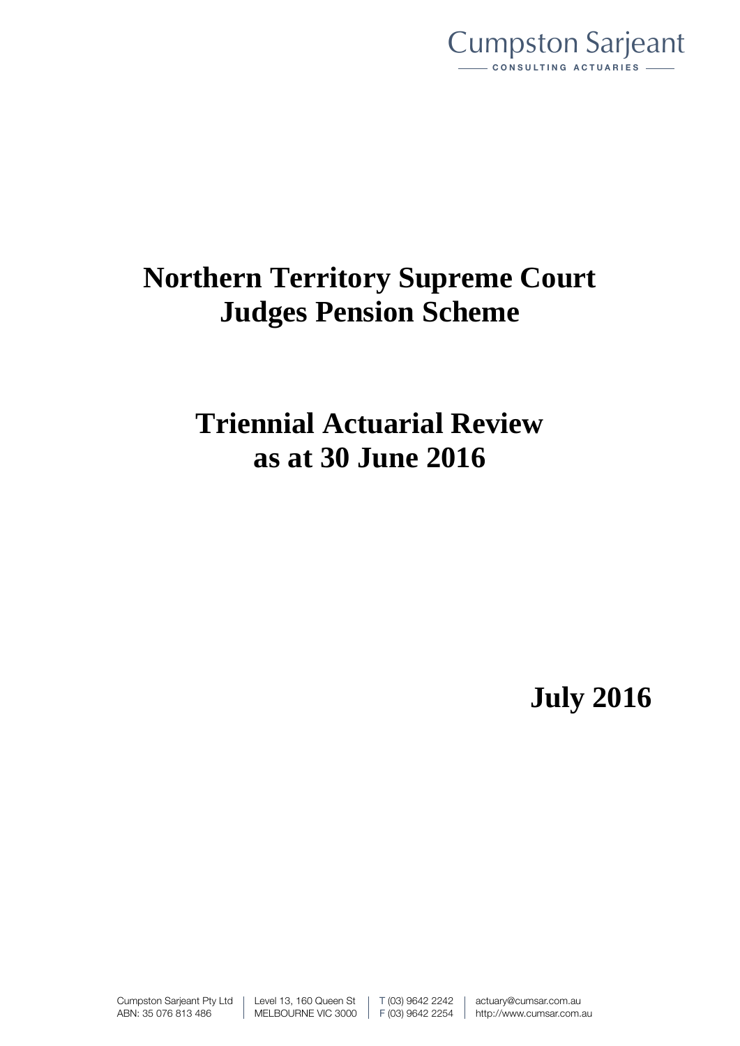

# **Northern Territory Supreme Court Judges Pension Scheme**

# **Triennial Actuarial Review as at 30 June 2016**

**July 2016**

Cumpston Sarjeant Pty Ltd ABN: 35 076 813 486

Level 13, 160 Queen St MELBOURNE VIC 3000 T (03) 9642 2242 F (03) 9642 2254 actuary@cumsar.com.au http://www.cumsar.com.au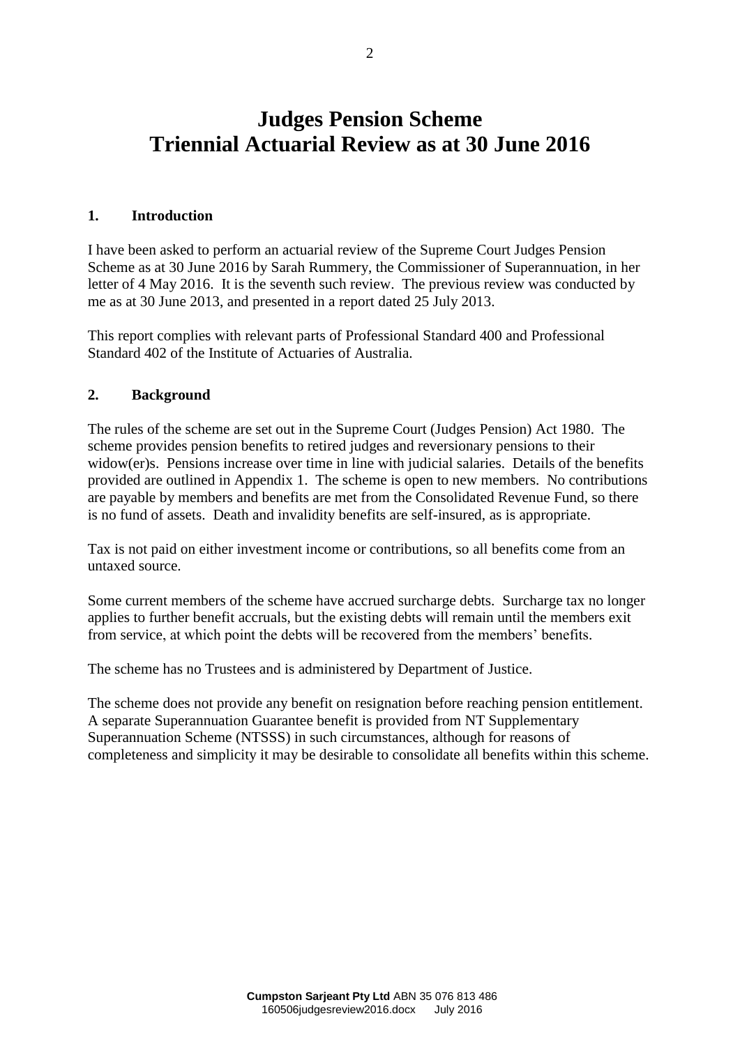# **Judges Pension Scheme Triennial Actuarial Review as at 30 June 2016**

# **1. Introduction**

I have been asked to perform an actuarial review of the Supreme Court Judges Pension Scheme as at 30 June 2016 by Sarah Rummery, the Commissioner of Superannuation, in her letter of 4 May 2016. It is the seventh such review. The previous review was conducted by me as at 30 June 2013, and presented in a report dated 25 July 2013.

This report complies with relevant parts of Professional Standard 400 and Professional Standard 402 of the Institute of Actuaries of Australia.

# **2. Background**

The rules of the scheme are set out in the Supreme Court (Judges Pension) Act 1980. The scheme provides pension benefits to retired judges and reversionary pensions to their widow(er)s. Pensions increase over time in line with judicial salaries. Details of the benefits provided are outlined in Appendix 1. The scheme is open to new members. No contributions are payable by members and benefits are met from the Consolidated Revenue Fund, so there is no fund of assets. Death and invalidity benefits are self-insured, as is appropriate.

Tax is not paid on either investment income or contributions, so all benefits come from an untaxed source.

Some current members of the scheme have accrued surcharge debts. Surcharge tax no longer applies to further benefit accruals, but the existing debts will remain until the members exit from service, at which point the debts will be recovered from the members' benefits.

The scheme has no Trustees and is administered by Department of Justice.

The scheme does not provide any benefit on resignation before reaching pension entitlement. A separate Superannuation Guarantee benefit is provided from NT Supplementary Superannuation Scheme (NTSSS) in such circumstances, although for reasons of completeness and simplicity it may be desirable to consolidate all benefits within this scheme.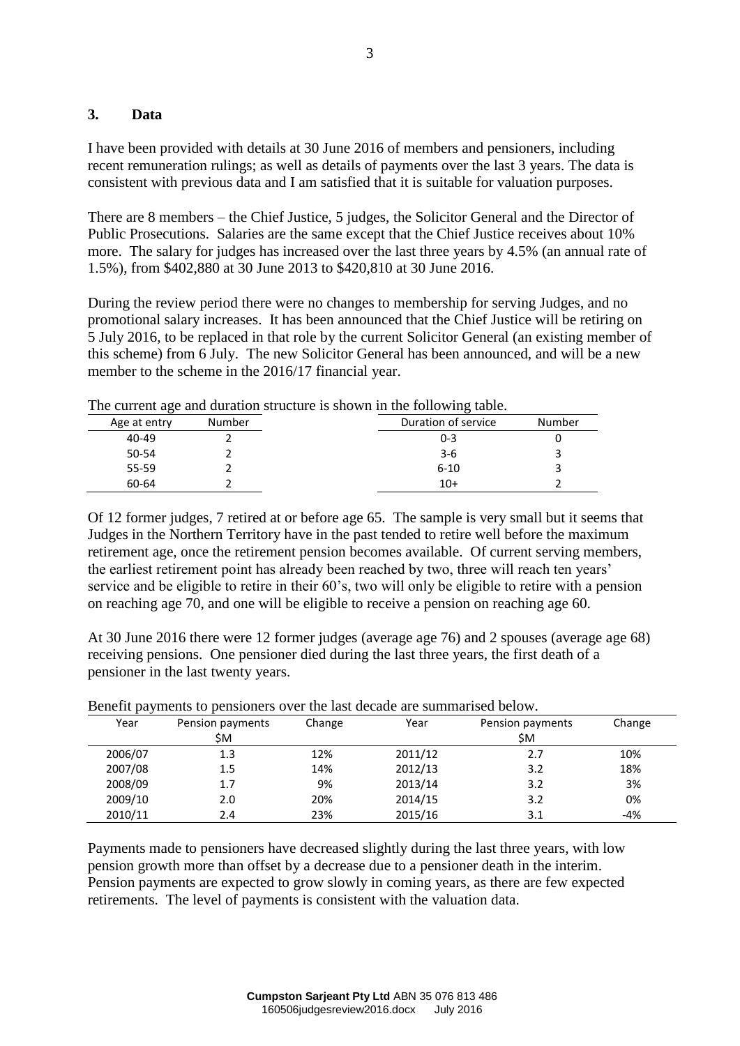# **3. Data**

I have been provided with details at 30 June 2016 of members and pensioners, including recent remuneration rulings; as well as details of payments over the last 3 years. The data is consistent with previous data and I am satisfied that it is suitable for valuation purposes.

There are 8 members – the Chief Justice, 5 judges, the Solicitor General and the Director of Public Prosecutions. Salaries are the same except that the Chief Justice receives about 10% more. The salary for judges has increased over the last three years by 4.5% (an annual rate of 1.5%), from \$402,880 at 30 June 2013 to \$420,810 at 30 June 2016.

During the review period there were no changes to membership for serving Judges, and no promotional salary increases. It has been announced that the Chief Justice will be retiring on 5 July 2016, to be replaced in that role by the current Solicitor General (an existing member of this scheme) from 6 July. The new Solicitor General has been announced, and will be a new member to the scheme in the 2016/17 financial year.

| Age at entry | Number | Duration of service | Number |
|--------------|--------|---------------------|--------|
| 40-49        |        | $0 - 3$             |        |
| 50-54        |        | $3-6$               |        |
| 55-59        |        | $6 - 10$            |        |
| 60-64        |        | $10+$               |        |

The current age and duration structure is shown in the following table.

Of 12 former judges, 7 retired at or before age 65. The sample is very small but it seems that Judges in the Northern Territory have in the past tended to retire well before the maximum retirement age, once the retirement pension becomes available. Of current serving members, the earliest retirement point has already been reached by two, three will reach ten years' service and be eligible to retire in their 60's, two will only be eligible to retire with a pension on reaching age 70, and one will be eligible to receive a pension on reaching age 60.

At 30 June 2016 there were 12 former judges (average age 76) and 2 spouses (average age 68) receiving pensions. One pensioner died during the last three years, the first death of a pensioner in the last twenty years.

|         | Denent payments to pensioners over the last decade are summarised below. |        |         |                         |        |  |
|---------|--------------------------------------------------------------------------|--------|---------|-------------------------|--------|--|
| Year    | Pension payments<br>ŚΜ.                                                  | Change | Year    | Pension payments<br>\$M | Change |  |
| 2006/07 | 1.3                                                                      | 12%    | 2011/12 | 2.7                     | 10%    |  |
| 2007/08 | 1.5                                                                      | 14%    | 2012/13 | 3.2                     | 18%    |  |
| 2008/09 | 1.7                                                                      | 9%     | 2013/14 | 3.2                     | 3%     |  |
| 2009/10 | 2.0                                                                      | 20%    | 2014/15 | 3.2                     | 0%     |  |
| 2010/11 | 2.4                                                                      | 23%    | 2015/16 | 3.1                     | $-4%$  |  |

|  |  | Benefit payments to pensioners over the last decade are summarised below. |  |
|--|--|---------------------------------------------------------------------------|--|
|  |  |                                                                           |  |

Payments made to pensioners have decreased slightly during the last three years, with low pension growth more than offset by a decrease due to a pensioner death in the interim. Pension payments are expected to grow slowly in coming years, as there are few expected retirements. The level of payments is consistent with the valuation data.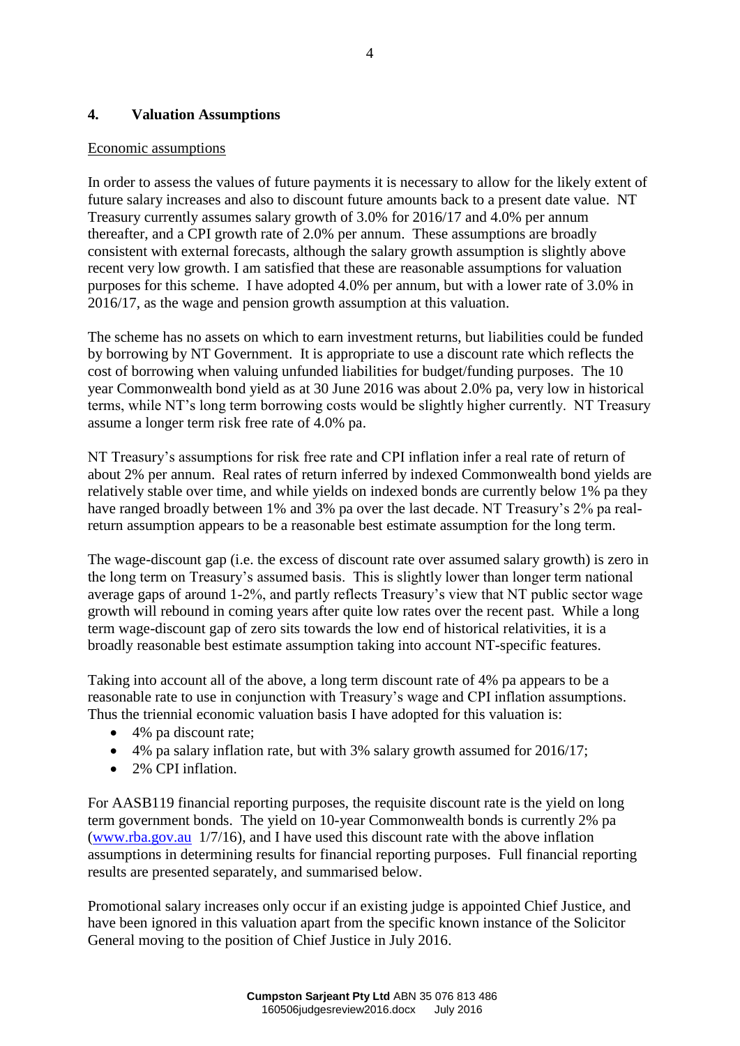# **4. Valuation Assumptions**

# Economic assumptions

In order to assess the values of future payments it is necessary to allow for the likely extent of future salary increases and also to discount future amounts back to a present date value. NT Treasury currently assumes salary growth of 3.0% for 2016/17 and 4.0% per annum thereafter, and a CPI growth rate of 2.0% per annum. These assumptions are broadly consistent with external forecasts, although the salary growth assumption is slightly above recent very low growth. I am satisfied that these are reasonable assumptions for valuation purposes for this scheme. I have adopted 4.0% per annum, but with a lower rate of 3.0% in 2016/17, as the wage and pension growth assumption at this valuation.

The scheme has no assets on which to earn investment returns, but liabilities could be funded by borrowing by NT Government. It is appropriate to use a discount rate which reflects the cost of borrowing when valuing unfunded liabilities for budget/funding purposes. The 10 year Commonwealth bond yield as at 30 June 2016 was about 2.0% pa, very low in historical terms, while NT's long term borrowing costs would be slightly higher currently. NT Treasury assume a longer term risk free rate of 4.0% pa.

NT Treasury's assumptions for risk free rate and CPI inflation infer a real rate of return of about 2% per annum. Real rates of return inferred by indexed Commonwealth bond yields are relatively stable over time, and while yields on indexed bonds are currently below 1% pa they have ranged broadly between 1% and 3% pa over the last decade. NT Treasury's 2% pa realreturn assumption appears to be a reasonable best estimate assumption for the long term.

The wage-discount gap (i.e. the excess of discount rate over assumed salary growth) is zero in the long term on Treasury's assumed basis. This is slightly lower than longer term national average gaps of around 1-2%, and partly reflects Treasury's view that NT public sector wage growth will rebound in coming years after quite low rates over the recent past. While a long term wage-discount gap of zero sits towards the low end of historical relativities, it is a broadly reasonable best estimate assumption taking into account NT-specific features.

Taking into account all of the above, a long term discount rate of 4% pa appears to be a reasonable rate to use in conjunction with Treasury's wage and CPI inflation assumptions. Thus the triennial economic valuation basis I have adopted for this valuation is:

- 4% pa discount rate;
- 4% pa salary inflation rate, but with 3% salary growth assumed for 2016/17;
- 2% CPI inflation.

For AASB119 financial reporting purposes, the requisite discount rate is the yield on long term government bonds. The yield on 10-year Commonwealth bonds is currently 2% pa [\(www.rba.gov.au](http://www.rba.gov.au/) 1/7/16), and I have used this discount rate with the above inflation assumptions in determining results for financial reporting purposes. Full financial reporting results are presented separately, and summarised below.

Promotional salary increases only occur if an existing judge is appointed Chief Justice, and have been ignored in this valuation apart from the specific known instance of the Solicitor General moving to the position of Chief Justice in July 2016.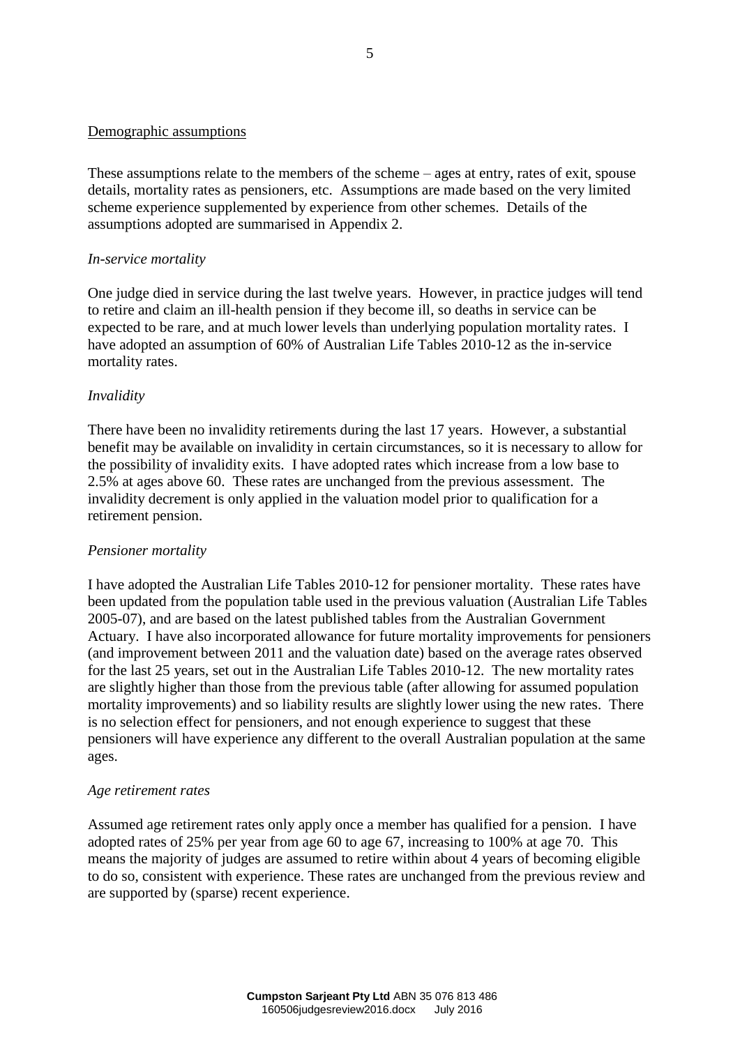# Demographic assumptions

These assumptions relate to the members of the scheme – ages at entry, rates of exit, spouse details, mortality rates as pensioners, etc. Assumptions are made based on the very limited scheme experience supplemented by experience from other schemes. Details of the assumptions adopted are summarised in Appendix 2.

# *In-service mortality*

One judge died in service during the last twelve years. However, in practice judges will tend to retire and claim an ill-health pension if they become ill, so deaths in service can be expected to be rare, and at much lower levels than underlying population mortality rates. I have adopted an assumption of 60% of Australian Life Tables 2010-12 as the in-service mortality rates.

# *Invalidity*

There have been no invalidity retirements during the last 17 years. However, a substantial benefit may be available on invalidity in certain circumstances, so it is necessary to allow for the possibility of invalidity exits. I have adopted rates which increase from a low base to 2.5% at ages above 60. These rates are unchanged from the previous assessment. The invalidity decrement is only applied in the valuation model prior to qualification for a retirement pension.

# *Pensioner mortality*

I have adopted the Australian Life Tables 2010-12 for pensioner mortality. These rates have been updated from the population table used in the previous valuation (Australian Life Tables 2005-07), and are based on the latest published tables from the Australian Government Actuary. I have also incorporated allowance for future mortality improvements for pensioners (and improvement between 2011 and the valuation date) based on the average rates observed for the last 25 years, set out in the Australian Life Tables 2010-12. The new mortality rates are slightly higher than those from the previous table (after allowing for assumed population mortality improvements) and so liability results are slightly lower using the new rates. There is no selection effect for pensioners, and not enough experience to suggest that these pensioners will have experience any different to the overall Australian population at the same ages.

#### *Age retirement rates*

Assumed age retirement rates only apply once a member has qualified for a pension. I have adopted rates of 25% per year from age 60 to age 67, increasing to 100% at age 70. This means the majority of judges are assumed to retire within about 4 years of becoming eligible to do so, consistent with experience. These rates are unchanged from the previous review and are supported by (sparse) recent experience.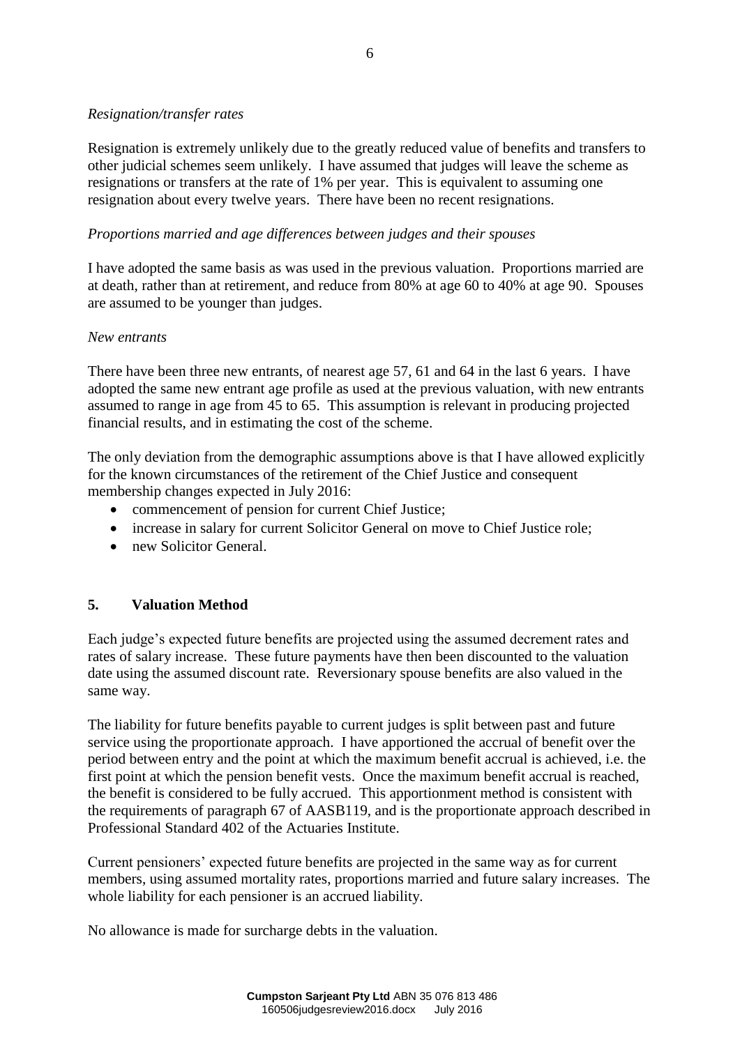# *Resignation/transfer rates*

Resignation is extremely unlikely due to the greatly reduced value of benefits and transfers to other judicial schemes seem unlikely. I have assumed that judges will leave the scheme as resignations or transfers at the rate of 1% per year. This is equivalent to assuming one resignation about every twelve years. There have been no recent resignations.

# *Proportions married and age differences between judges and their spouses*

I have adopted the same basis as was used in the previous valuation. Proportions married are at death, rather than at retirement, and reduce from 80% at age 60 to 40% at age 90. Spouses are assumed to be younger than judges.

# *New entrants*

There have been three new entrants, of nearest age 57, 61 and 64 in the last 6 years. I have adopted the same new entrant age profile as used at the previous valuation, with new entrants assumed to range in age from 45 to 65. This assumption is relevant in producing projected financial results, and in estimating the cost of the scheme.

The only deviation from the demographic assumptions above is that I have allowed explicitly for the known circumstances of the retirement of the Chief Justice and consequent membership changes expected in July 2016:

- commencement of pension for current Chief Justice;
- increase in salary for current Solicitor General on move to Chief Justice role;
- new Solicitor General.

# **5. Valuation Method**

Each judge's expected future benefits are projected using the assumed decrement rates and rates of salary increase. These future payments have then been discounted to the valuation date using the assumed discount rate. Reversionary spouse benefits are also valued in the same way.

The liability for future benefits payable to current judges is split between past and future service using the proportionate approach. I have apportioned the accrual of benefit over the period between entry and the point at which the maximum benefit accrual is achieved, i.e. the first point at which the pension benefit vests. Once the maximum benefit accrual is reached, the benefit is considered to be fully accrued. This apportionment method is consistent with the requirements of paragraph 67 of AASB119, and is the proportionate approach described in Professional Standard 402 of the Actuaries Institute.

Current pensioners' expected future benefits are projected in the same way as for current members, using assumed mortality rates, proportions married and future salary increases. The whole liability for each pensioner is an accrued liability.

No allowance is made for surcharge debts in the valuation.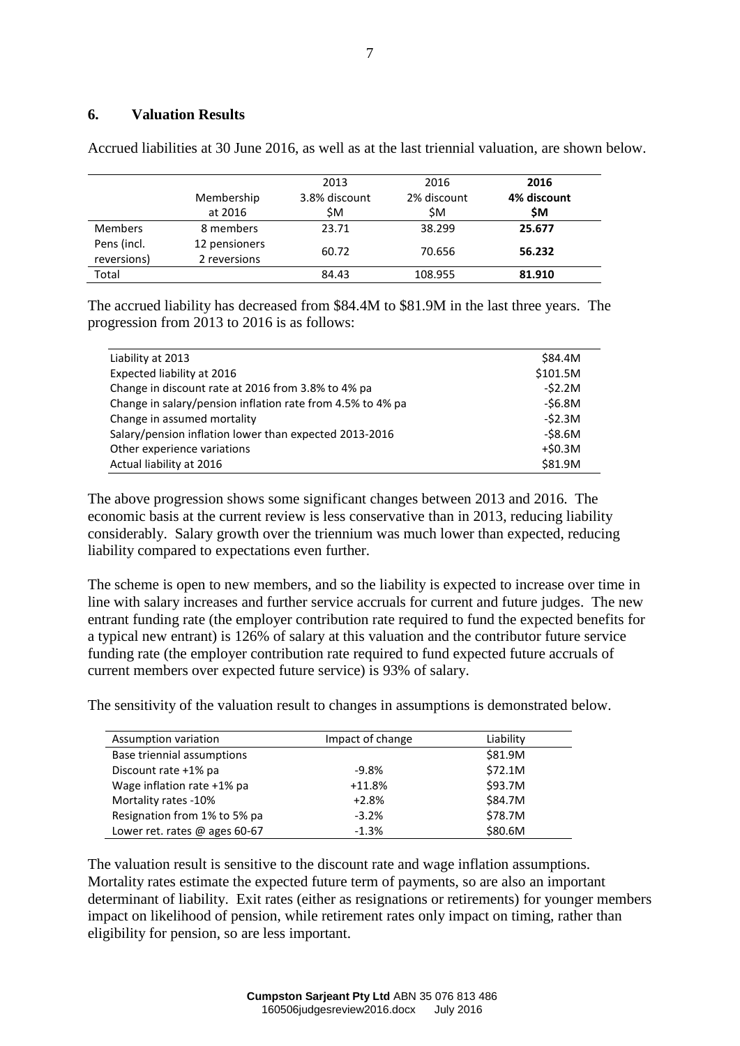# **6. Valuation Results**

|                |               | 2013          | 2016        | 2016        |
|----------------|---------------|---------------|-------------|-------------|
|                | Membership    | 3.8% discount | 2% discount | 4% discount |
|                | at 2016       | ŚΜ.           | \$Μ         | <b>SM</b>   |
| <b>Members</b> | 8 members     | 23.71         | 38.299      | 25.677      |
| Pens (incl.    | 12 pensioners |               |             |             |
| reversions)    | 2 reversions  | 60.72         | 70.656      | 56.232      |
| Total          |               | 84.43         | 108.955     | 81.910      |

Accrued liabilities at 30 June 2016, as well as at the last triennial valuation, are shown below.

The accrued liability has decreased from \$84.4M to \$81.9M in the last three years. The progression from 2013 to 2016 is as follows:

| Liability at 2013                                          | \$84.4M    |
|------------------------------------------------------------|------------|
| Expected liability at 2016                                 | \$101.5M   |
| Change in discount rate at 2016 from 3.8% to 4% pa         | -\$2.2M    |
| Change in salary/pension inflation rate from 4.5% to 4% pa | $-56.8M$   |
| Change in assumed mortality                                | -\$2.3M    |
| Salary/pension inflation lower than expected 2013-2016     | -\$8.6M    |
| Other experience variations                                | $+$ \$0.3M |
| Actual liability at 2016                                   | \$81.9M    |

The above progression shows some significant changes between 2013 and 2016. The economic basis at the current review is less conservative than in 2013, reducing liability considerably. Salary growth over the triennium was much lower than expected, reducing liability compared to expectations even further.

The scheme is open to new members, and so the liability is expected to increase over time in line with salary increases and further service accruals for current and future judges. The new entrant funding rate (the employer contribution rate required to fund the expected benefits for a typical new entrant) is 126% of salary at this valuation and the contributor future service funding rate (the employer contribution rate required to fund expected future accruals of current members over expected future service) is 93% of salary.

The sensitivity of the valuation result to changes in assumptions is demonstrated below.

| Assumption variation            | Impact of change | Liability |
|---------------------------------|------------------|-----------|
| Base triennial assumptions      |                  | \$81.9M   |
| Discount rate +1% pa            | $-9.8%$          | \$72.1M   |
| Wage inflation rate +1% pa      | $+11.8%$         | \$93.7M   |
| Mortality rates -10%            | $+2.8%$          | \$84.7M   |
| Resignation from 1% to 5% pa    | $-3.2%$          | \$78.7M   |
| Lower ret. rates $@$ ages 60-67 | $-1.3%$          | \$80.6M   |

The valuation result is sensitive to the discount rate and wage inflation assumptions. Mortality rates estimate the expected future term of payments, so are also an important determinant of liability. Exit rates (either as resignations or retirements) for younger members impact on likelihood of pension, while retirement rates only impact on timing, rather than eligibility for pension, so are less important.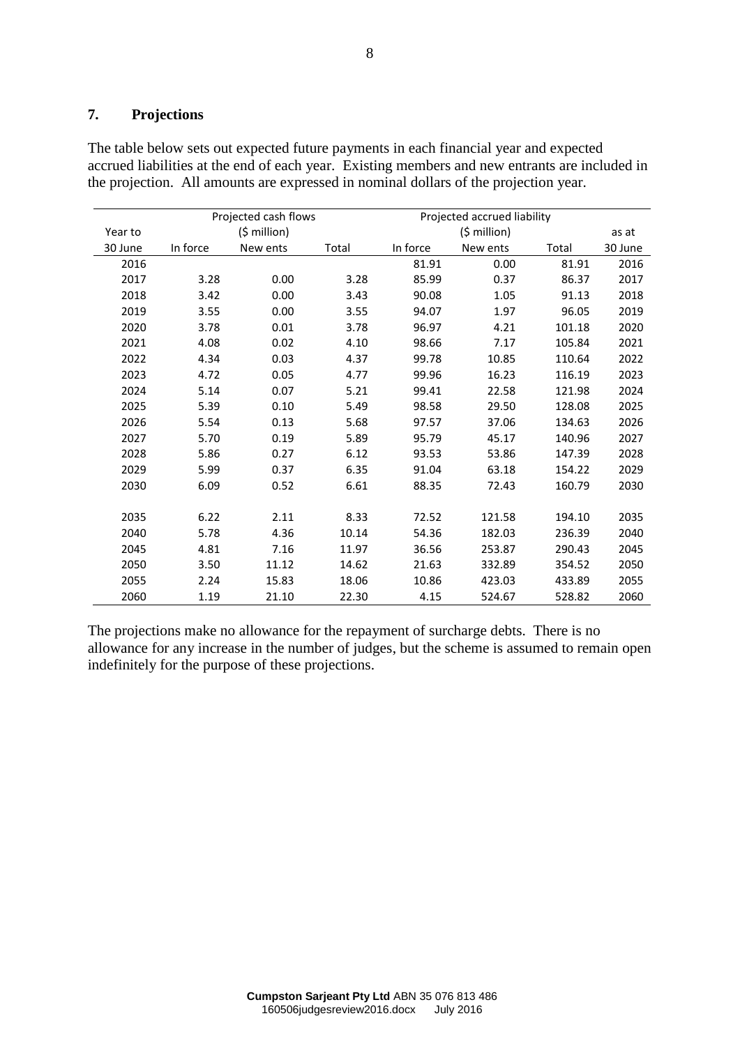# **7. Projections**

The table below sets out expected future payments in each financial year and expected accrued liabilities at the end of each year. Existing members and new entrants are included in the projection. All amounts are expressed in nominal dollars of the projection year.

|         | Projected cash flows |               |       |          | Projected accrued liability |        |         |
|---------|----------------------|---------------|-------|----------|-----------------------------|--------|---------|
| Year to |                      | $(5$ million) |       |          | $(5$ million)               |        | as at   |
| 30 June | In force             | New ents      | Total | In force | New ents                    | Total  | 30 June |
| 2016    |                      |               |       | 81.91    | 0.00                        | 81.91  | 2016    |
| 2017    | 3.28                 | 0.00          | 3.28  | 85.99    | 0.37                        | 86.37  | 2017    |
| 2018    | 3.42                 | 0.00          | 3.43  | 90.08    | 1.05                        | 91.13  | 2018    |
| 2019    | 3.55                 | 0.00          | 3.55  | 94.07    | 1.97                        | 96.05  | 2019    |
| 2020    | 3.78                 | 0.01          | 3.78  | 96.97    | 4.21                        | 101.18 | 2020    |
| 2021    | 4.08                 | 0.02          | 4.10  | 98.66    | 7.17                        | 105.84 | 2021    |
| 2022    | 4.34                 | 0.03          | 4.37  | 99.78    | 10.85                       | 110.64 | 2022    |
| 2023    | 4.72                 | 0.05          | 4.77  | 99.96    | 16.23                       | 116.19 | 2023    |
| 2024    | 5.14                 | 0.07          | 5.21  | 99.41    | 22.58                       | 121.98 | 2024    |
| 2025    | 5.39                 | 0.10          | 5.49  | 98.58    | 29.50                       | 128.08 | 2025    |
| 2026    | 5.54                 | 0.13          | 5.68  | 97.57    | 37.06                       | 134.63 | 2026    |
| 2027    | 5.70                 | 0.19          | 5.89  | 95.79    | 45.17                       | 140.96 | 2027    |
| 2028    | 5.86                 | 0.27          | 6.12  | 93.53    | 53.86                       | 147.39 | 2028    |
| 2029    | 5.99                 | 0.37          | 6.35  | 91.04    | 63.18                       | 154.22 | 2029    |
| 2030    | 6.09                 | 0.52          | 6.61  | 88.35    | 72.43                       | 160.79 | 2030    |
|         |                      |               |       |          |                             |        |         |
| 2035    | 6.22                 | 2.11          | 8.33  | 72.52    | 121.58                      | 194.10 | 2035    |
| 2040    | 5.78                 | 4.36          | 10.14 | 54.36    | 182.03                      | 236.39 | 2040    |
| 2045    | 4.81                 | 7.16          | 11.97 | 36.56    | 253.87                      | 290.43 | 2045    |
| 2050    | 3.50                 | 11.12         | 14.62 | 21.63    | 332.89                      | 354.52 | 2050    |
| 2055    | 2.24                 | 15.83         | 18.06 | 10.86    | 423.03                      | 433.89 | 2055    |
| 2060    | 1.19                 | 21.10         | 22.30 | 4.15     | 524.67                      | 528.82 | 2060    |

The projections make no allowance for the repayment of surcharge debts. There is no allowance for any increase in the number of judges, but the scheme is assumed to remain open indefinitely for the purpose of these projections.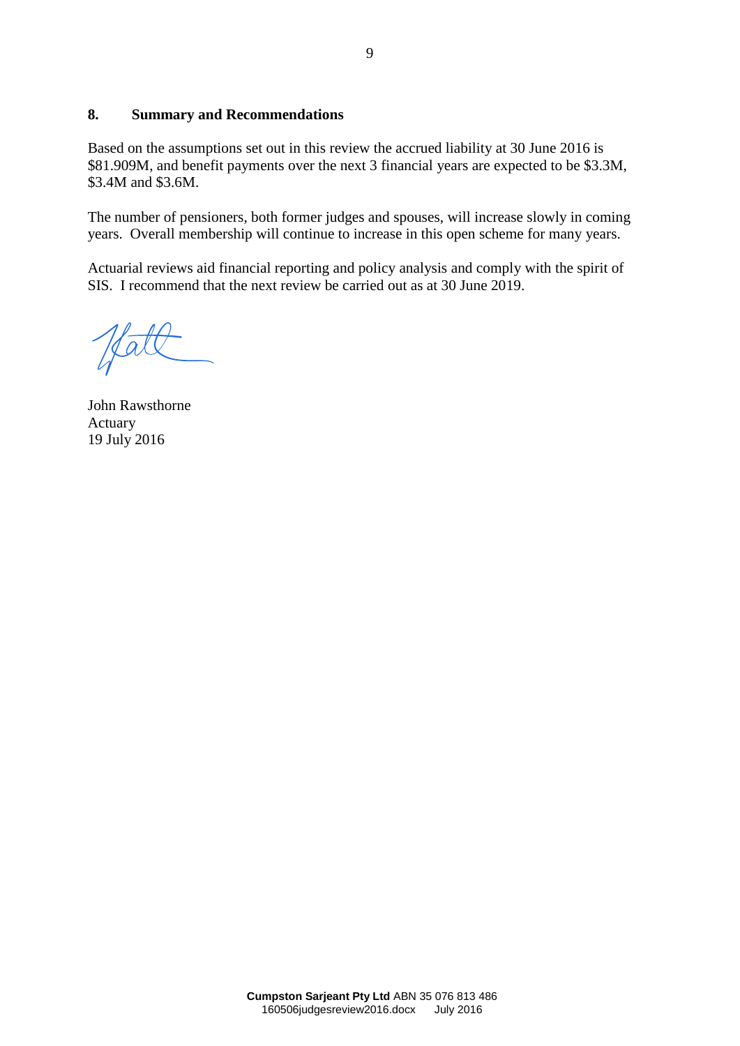# **8. Summary and Recommendations**

Based on the assumptions set out in this review the accrued liability at 30 June 2016 is \$81.909M, and benefit payments over the next 3 financial years are expected to be \$3.3M, \$3.4M and \$3.6M.

The number of pensioners, both former judges and spouses, will increase slowly in coming years. Overall membership will continue to increase in this open scheme for many years.

Actuarial reviews aid financial reporting and policy analysis and comply with the spirit of SIS. I recommend that the next review be carried out as at 30 June 2019.

John Rawsthorne Actuary 19 July 2016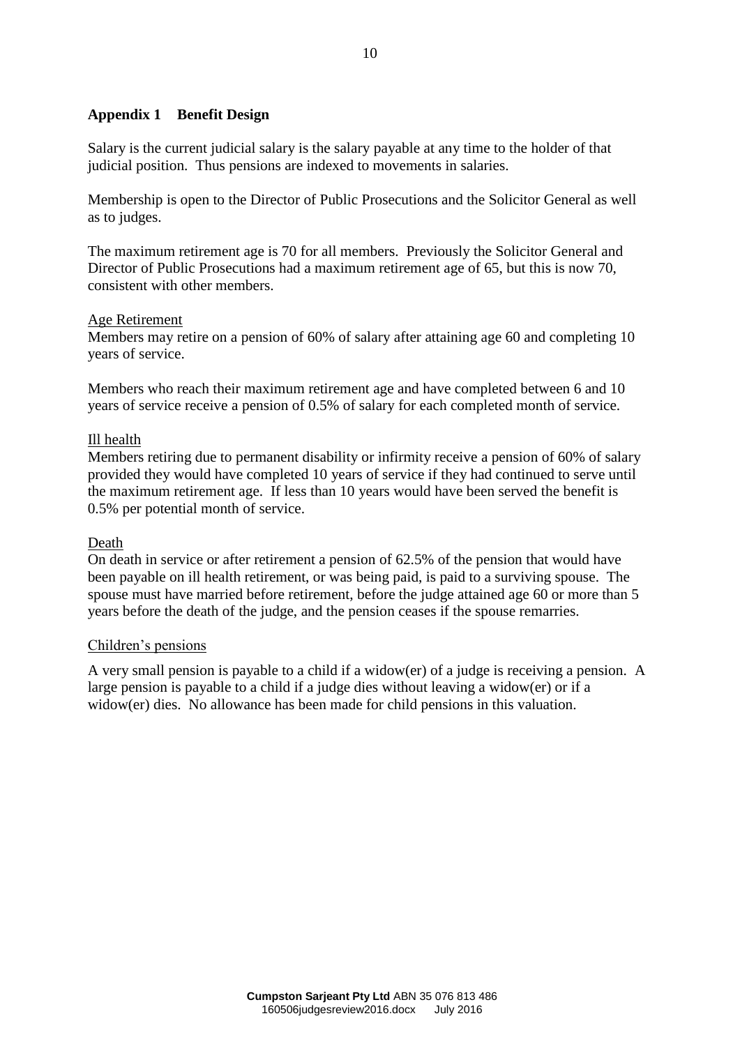# **Appendix 1 Benefit Design**

Salary is the current judicial salary is the salary payable at any time to the holder of that judicial position. Thus pensions are indexed to movements in salaries.

Membership is open to the Director of Public Prosecutions and the Solicitor General as well as to judges.

The maximum retirement age is 70 for all members. Previously the Solicitor General and Director of Public Prosecutions had a maximum retirement age of 65, but this is now 70, consistent with other members.

# Age Retirement

Members may retire on a pension of 60% of salary after attaining age 60 and completing 10 years of service.

Members who reach their maximum retirement age and have completed between 6 and 10 years of service receive a pension of 0.5% of salary for each completed month of service.

# Ill health

Members retiring due to permanent disability or infirmity receive a pension of 60% of salary provided they would have completed 10 years of service if they had continued to serve until the maximum retirement age. If less than 10 years would have been served the benefit is 0.5% per potential month of service.

#### Death

On death in service or after retirement a pension of 62.5% of the pension that would have been payable on ill health retirement, or was being paid, is paid to a surviving spouse. The spouse must have married before retirement, before the judge attained age 60 or more than 5 years before the death of the judge, and the pension ceases if the spouse remarries.

#### Children's pensions

A very small pension is payable to a child if a widow(er) of a judge is receiving a pension. A large pension is payable to a child if a judge dies without leaving a widow(er) or if a widow(er) dies. No allowance has been made for child pensions in this valuation.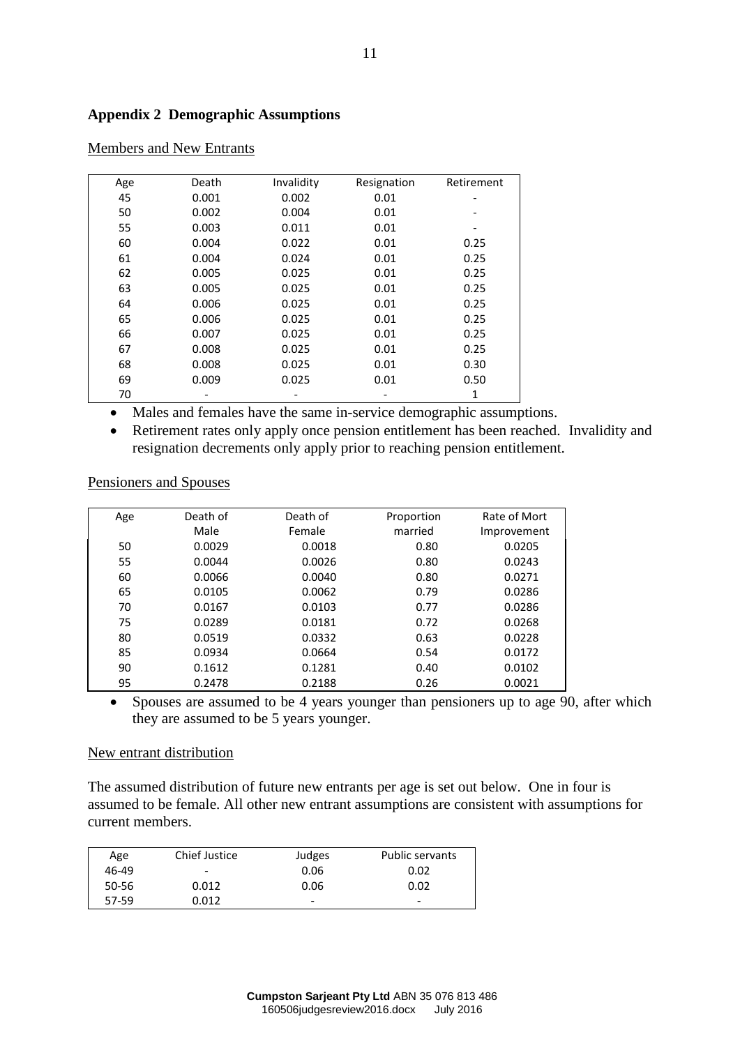# **Appendix 2 Demographic Assumptions**

| Age | Death | Invalidity | Resignation | Retirement |
|-----|-------|------------|-------------|------------|
| 45  | 0.001 | 0.002      | 0.01        |            |
| 50  | 0.002 | 0.004      | 0.01        |            |
| 55  | 0.003 | 0.011      | 0.01        |            |
| 60  | 0.004 | 0.022      | 0.01        | 0.25       |
| 61  | 0.004 | 0.024      | 0.01        | 0.25       |
| 62  | 0.005 | 0.025      | 0.01        | 0.25       |
| 63  | 0.005 | 0.025      | 0.01        | 0.25       |
| 64  | 0.006 | 0.025      | 0.01        | 0.25       |
| 65  | 0.006 | 0.025      | 0.01        | 0.25       |
| 66  | 0.007 | 0.025      | 0.01        | 0.25       |
| 67  | 0.008 | 0.025      | 0.01        | 0.25       |
| 68  | 0.008 | 0.025      | 0.01        | 0.30       |
| 69  | 0.009 | 0.025      | 0.01        | 0.50       |
| 70  |       |            |             |            |

# Members and New Entrants

Males and females have the same in-service demographic assumptions.

• Retirement rates only apply once pension entitlement has been reached. Invalidity and resignation decrements only apply prior to reaching pension entitlement.

Pensioners and Spouses

| Age | Death of | Death of | Proportion | Rate of Mort |
|-----|----------|----------|------------|--------------|
|     | Male     | Female   | married    | Improvement  |
| 50  | 0.0029   | 0.0018   | 0.80       | 0.0205       |
| 55  | 0.0044   | 0.0026   | 0.80       | 0.0243       |
| 60  | 0.0066   | 0.0040   | 0.80       | 0.0271       |
| 65  | 0.0105   | 0.0062   | 0.79       | 0.0286       |
| 70  | 0.0167   | 0.0103   | 0.77       | 0.0286       |
| 75  | 0.0289   | 0.0181   | 0.72       | 0.0268       |
| 80  | 0.0519   | 0.0332   | 0.63       | 0.0228       |
| 85  | 0.0934   | 0.0664   | 0.54       | 0.0172       |
| 90  | 0.1612   | 0.1281   | 0.40       | 0.0102       |
| 95  | 0.2478   | 0.2188   | 0.26       | 0.0021       |

• Spouses are assumed to be 4 years younger than pensioners up to age 90, after which they are assumed to be 5 years younger.

#### New entrant distribution

The assumed distribution of future new entrants per age is set out below. One in four is assumed to be female. All other new entrant assumptions are consistent with assumptions for current members.

| Age   | <b>Chief Justice</b>     | Judges                   | <b>Public servants</b> |
|-------|--------------------------|--------------------------|------------------------|
| 46-49 | $\overline{\phantom{a}}$ | 0.06                     | 0.02                   |
| 50-56 | 0.012                    | 0.06                     | 0.02                   |
| 57-59 | 0.012                    | $\overline{\phantom{0}}$ | ۰                      |